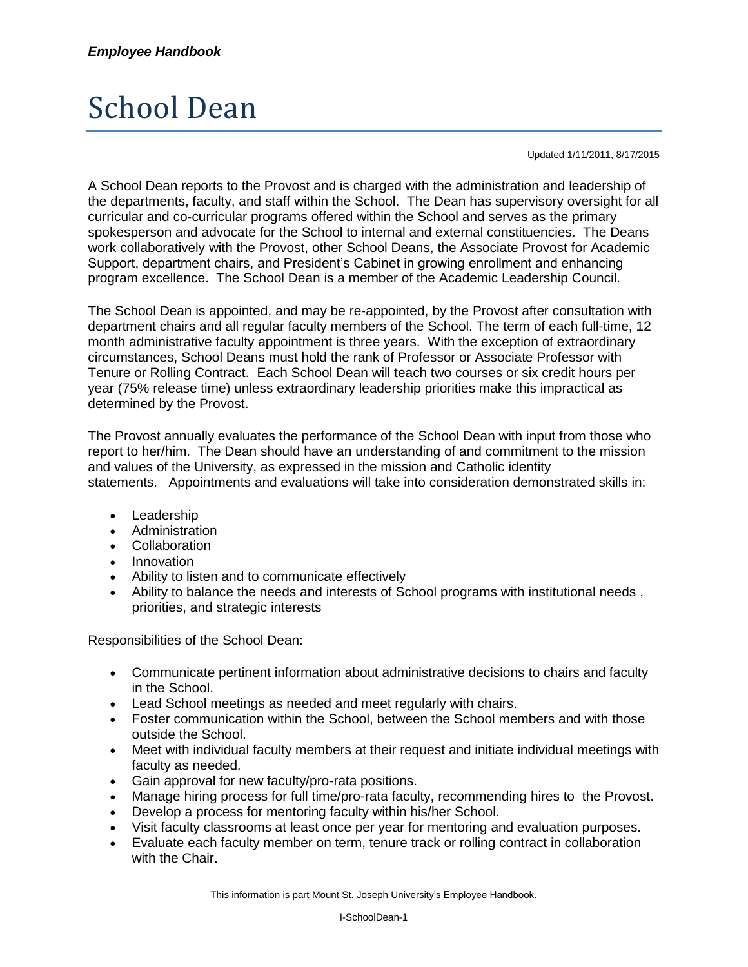## School Dean

Updated 1/11/2011, 8/17/2015

A School Dean reports to the Provost and is charged with the administration and leadership of the departments, faculty, and staff within the School. The Dean has supervisory oversight for all curricular and co-curricular programs offered within the School and serves as the primary spokesperson and advocate for the School to internal and external constituencies. The Deans work collaboratively with the Provost, other School Deans, the Associate Provost for Academic Support, department chairs, and President's Cabinet in growing enrollment and enhancing program excellence. The School Dean is a member of the Academic Leadership Council.

The School Dean is appointed, and may be re-appointed, by the Provost after consultation with department chairs and all regular faculty members of the School. The term of each full-time, 12 month administrative faculty appointment is three years. With the exception of extraordinary circumstances, School Deans must hold the rank of Professor or Associate Professor with Tenure or Rolling Contract. Each School Dean will teach two courses or six credit hours per year (75% release time) unless extraordinary leadership priorities make this impractical as determined by the Provost.

The Provost annually evaluates the performance of the School Dean with input from those who report to her/him. The Dean should have an understanding of and commitment to the mission and values of the University, as expressed in the mission and Catholic identity statements. Appointments and evaluations will take into consideration demonstrated skills in:

- Leadership
- Administration
- Collaboration
- Innovation
- Ability to listen and to communicate effectively
- Ability to balance the needs and interests of School programs with institutional needs , priorities, and strategic interests

Responsibilities of the School Dean:

- Communicate pertinent information about administrative decisions to chairs and faculty in the School.
- Lead School meetings as needed and meet regularly with chairs.
- Foster communication within the School, between the School members and with those outside the School.
- Meet with individual faculty members at their request and initiate individual meetings with faculty as needed.
- Gain approval for new faculty/pro-rata positions.
- Manage hiring process for full time/pro-rata faculty, recommending hires to the Provost.
- Develop a process for mentoring faculty within his/her School.
- Visit faculty classrooms at least once per year for mentoring and evaluation purposes.
- Evaluate each faculty member on term, tenure track or rolling contract in collaboration with the Chair.